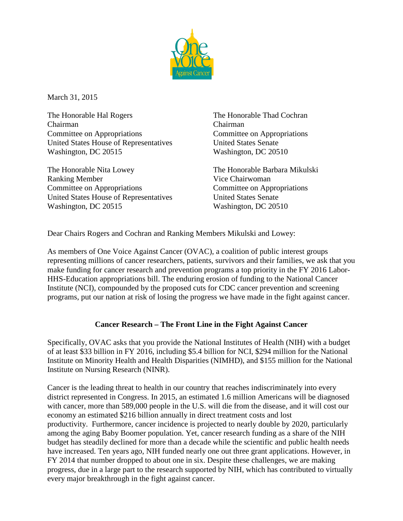

March 31, 2015

The Honorable Hal Rogers The Honorable Thad Cochran Chairman Chairman Committee on Appropriations Committee on Appropriations United States House of Representatives United States Senate Washington, DC 20515 Washington, DC 20510

The Honorable Nita Lowey The Honorable Barbara Mikulski Ranking Member Vice Chairwoman Committee on Appropriations Committee on Appropriations United States House of Representatives United States Senate Washington, DC 20515 Washington, DC 20510

Dear Chairs Rogers and Cochran and Ranking Members Mikulski and Lowey:

As members of One Voice Against Cancer (OVAC), a coalition of public interest groups representing millions of cancer researchers, patients, survivors and their families, we ask that you make funding for cancer research and prevention programs a top priority in the FY 2016 Labor-HHS-Education appropriations bill. The enduring erosion of funding to the National Cancer Institute (NCI), compounded by the proposed cuts for CDC cancer prevention and screening programs, put our nation at risk of losing the progress we have made in the fight against cancer.

## **Cancer Research – The Front Line in the Fight Against Cancer**

Specifically, OVAC asks that you provide the National Institutes of Health (NIH) with a budget of at least \$33 billion in FY 2016, including \$5.4 billion for NCI, \$294 million for the National Institute on Minority Health and Health Disparities (NIMHD), and \$155 million for the National Institute on Nursing Research (NINR).

Cancer is the leading threat to health in our country that reaches indiscriminately into every district represented in Congress. In 2015, an estimated 1.6 million Americans will be diagnosed with cancer, more than 589,000 people in the U.S. will die from the disease, and it will cost our economy an estimated \$216 billion annually in direct treatment costs and lost productivity. Furthermore, cancer incidence is projected to nearly double by 2020, particularly among the aging Baby Boomer population. Yet, cancer research funding as a share of the NIH budget has steadily declined for more than a decade while the scientific and public health needs have increased. Ten years ago, NIH funded nearly one out three grant applications. However, in FY 2014 that number dropped to about one in six. Despite these challenges, we are making progress, due in a large part to the research supported by NIH, which has contributed to virtually every major breakthrough in the fight against cancer.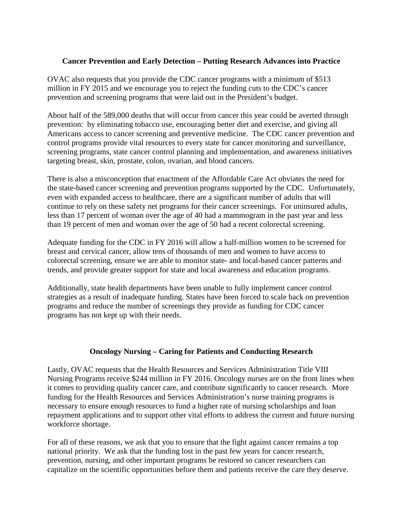## **Cancer Prevention and Early Detection – Putting Research Advances into Practice**

OVAC also requests that you provide the CDC cancer programs with a minimum of \$513 million in FY 2015 and we encourage you to reject the funding cuts to the CDC's cancer prevention and screening programs that were laid out in the President's budget.

About half of the 589,000 deaths that will occur from cancer this year could be averted through prevention: by eliminating tobacco use, encouraging better diet and exercise, and giving all Americans access to cancer screening and preventive medicine. The CDC cancer prevention and control programs provide vital resources to every state for cancer monitoring and surveillance, screening programs, state cancer control planning and implementation, and awareness initiatives targeting breast, skin, prostate, colon, ovarian, and blood cancers.

There is also a misconception that enactment of the Affordable Care Act obviates the need for the state-based cancer screening and prevention programs supported by the CDC. Unfortunately, even with expanded access to healthcare, there are a significant number of adults that will continue to rely on these safety net programs for their cancer screenings. For uninsured adults, less than 17 percent of woman over the age of 40 had a mammogram in the past year and less than 19 percent of men and woman over the age of 50 had a recent colorectal screening.

Adequate funding for the CDC in FY 2016 will allow a half-million women to be screened for breast and cervical cancer, allow tens of thousands of men and women to have access to colorectal screening, ensure we are able to monitor state- and local-based cancer patterns and trends, and provide greater support for state and local awareness and education programs.

Additionally, state health departments have been unable to fully implement cancer control strategies as a result of inadequate funding. States have been forced to scale back on prevention programs and reduce the number of screenings they provide as funding for CDC cancer programs has not kept up with their needs.

## **Oncology Nursing – Caring for Patients and Conducting Research**

Lastly, OVAC requests that the Health Resources and Services Administration Title VIII Nursing Programs receive \$244 million in FY 2016. Oncology nurses are on the front lines when it comes to providing quality cancer care, and contribute significantly to cancer research. More funding for the Health Resources and Services Administration's nurse training programs is necessary to ensure enough resources to fund a higher rate of nursing scholarships and loan repayment applications and to support other vital efforts to address the current and future nursing workforce shortage.

For all of these reasons, we ask that you to ensure that the fight against cancer remains a top national priority. We ask that the funding lost in the past few years for cancer research, prevention, nursing, and other important programs be restored so cancer researchers can capitalize on the scientific opportunities before them and patients receive the care they deserve.